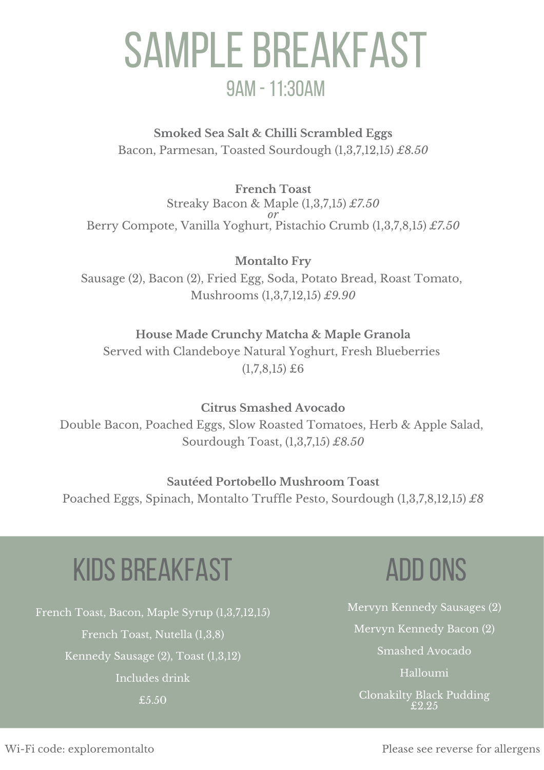# SAMPLE BREAKFAST 9am -11:30am

**Smoked Sea Salt & Chilli Scrambled Eggs** Bacon, Parmesan, Toasted Sourdough (1,3,7,12,15) *£8.50*

**French Toast** Streaky Bacon & Maple (1,3,7,15) *£7.50 or* Berry Compote, Vanilla Yoghurt, Pistachio Crumb (1,3,7,8,15) *£7.50*

**Montalto Fry** Sausage (2), Bacon (2), Fried Egg, Soda, Potato Bread, Roast Tomato, Mushrooms (1,3,7,12,15) *£9.90*

#### **House Made Crunchy Matcha & Maple Granola**

Served with Clandeboye Natural Yoghurt, Fresh Blueberries  $(1,7,8,15)$  £6

**Citrus Smashed Avocado** Double Bacon, Poached Eggs, Slow Roasted Tomatoes, Herb & Apple Salad, Sourdough Toast, (1,3,7,15) *£8.50*

### **Sautéed Portobello Mushroom Toast**

Poached Eggs, Spinach, Montalto Truffle Pesto, Sourdough (1,3,7,8,12,15) *£8*

## **KIDS BREAKFAST**

French Toast, Bacon, Maple Syrup (1,3,7,12,15) French Toast, Nutella (1,3,8) Kennedy Sausage (2), Toast (1,3,12) Includes drink £5.50

### **ADD ONS**

Mervyn Kennedy Sausages (2) Mervyn Kennedy Bacon (2) Smashed Avocado Halloumi

Clonakilty Black Pudding  $\pounds2.25$ 

Wi-Fi code: exploremontalto

Please see reverse for allergens